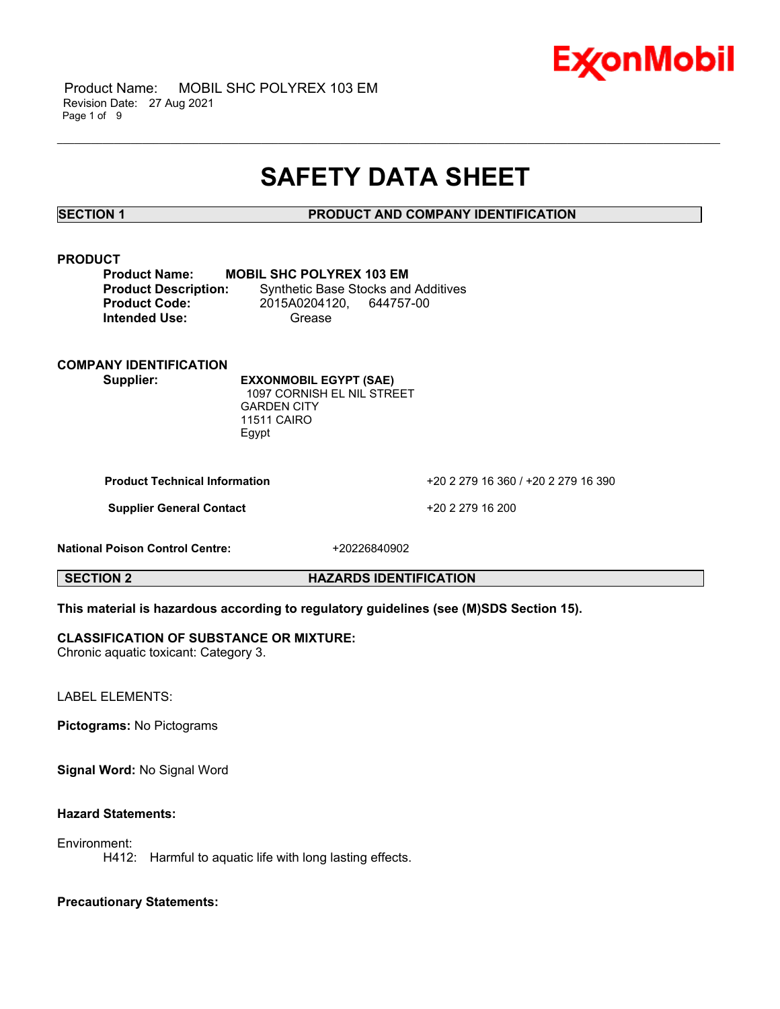

 Product Name: MOBIL SHC POLYREX 103 EM Revision Date: 27 Aug 2021 Page 1 of 9

## **SAFETY DATA SHEET**

\_\_\_\_\_\_\_\_\_\_\_\_\_\_\_\_\_\_\_\_\_\_\_\_\_\_\_\_\_\_\_\_\_\_\_\_\_\_\_\_\_\_\_\_\_\_\_\_\_\_\_\_\_\_\_\_\_\_\_\_\_\_\_\_\_\_\_\_\_\_\_\_\_\_\_\_\_\_\_\_\_\_\_\_\_\_\_\_\_\_\_\_\_\_\_\_\_\_\_\_\_\_\_\_\_\_\_\_\_\_\_\_\_\_\_\_\_

**SECTION 1 PRODUCT AND COMPANY IDENTIFICATION**

#### **PRODUCT**

| <b>Product Name:</b>        | <b>MOBIL SHC POLYREX 103 EM</b> |                                            |
|-----------------------------|---------------------------------|--------------------------------------------|
| <b>Product Description:</b> |                                 | <b>Synthetic Base Stocks and Additives</b> |
| <b>Product Code:</b>        | 2015A0204120.                   | 644757-00                                  |
| <b>Intended Use:</b>        | Grease                          |                                            |

### **COMPANY IDENTIFICATION**

**Supplier: EXXONMOBIL EGYPT (SAE)** 1097 CORNISH EL NIL STREET GARDEN CITY 11511 CAIRO Egypt

**Product Technical Information** +20 2 279 16 360 / +20 2 279 16 390

**Supplier General Contact** +20 2 279 16 200

**National Poison Control Centre:** +20226840902

**SECTION 2 HAZARDS IDENTIFICATION**

#### **This material is hazardous according to regulatory guidelines (see (M)SDS Section 15).**

#### **CLASSIFICATION OF SUBSTANCE OR MIXTURE:**

Chronic aquatic toxicant: Category 3.

LABEL ELEMENTS:

**Pictograms:** No Pictograms

**Signal Word:** No Signal Word

### **Hazard Statements:**

Environment:

H412: Harmful to aquatic life with long lasting effects.

### **Precautionary Statements:**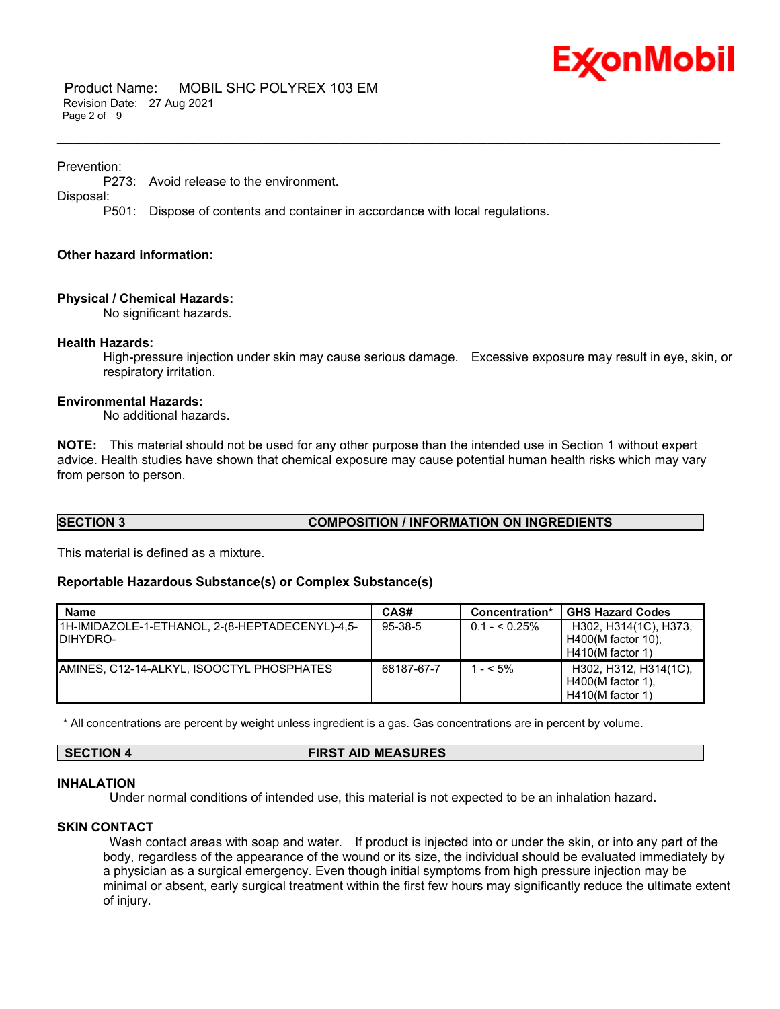

 Product Name: MOBIL SHC POLYREX 103 EM Revision Date: 27 Aug 2021 Page 2 of 9

#### Prevention:

P273: Avoid release to the environment.

Disposal:

P501: Dispose of contents and container in accordance with local regulations.

#### **Other hazard information:**

#### **Physical / Chemical Hazards:**

No significant hazards.

#### **Health Hazards:**

High-pressure injection under skin may cause serious damage. Excessive exposure may result in eye, skin, or respiratory irritation.

#### **Environmental Hazards:**

No additional hazards.

**NOTE:** This material should not be used for any other purpose than the intended use in Section 1 without expert advice. Health studies have shown that chemical exposure may cause potential human health risks which may vary from person to person.

\_\_\_\_\_\_\_\_\_\_\_\_\_\_\_\_\_\_\_\_\_\_\_\_\_\_\_\_\_\_\_\_\_\_\_\_\_\_\_\_\_\_\_\_\_\_\_\_\_\_\_\_\_\_\_\_\_\_\_\_\_\_\_\_\_\_\_\_\_\_\_\_\_\_\_\_\_\_\_\_\_\_\_\_\_\_\_\_\_\_\_\_\_\_\_\_\_\_\_\_\_\_\_\_\_\_\_\_\_\_\_\_\_\_\_\_\_

### **SECTION 3 COMPOSITION / INFORMATION ON INGREDIENTS**

This material is defined as a mixture.

#### **Reportable Hazardous Substance(s) or Complex Substance(s)**

| <b>Name</b>                                     | CAS#       | Concentration* | <b>GHS Hazard Codes</b> |
|-------------------------------------------------|------------|----------------|-------------------------|
| 1H-IMIDAZOLE-1-ETHANOL, 2-(8-HEPTADECENYL)-4,5- | $95-38-5$  | $0.1 - 5.25\%$ | H302, H314(1C), H373,   |
| IDIHYDRO-                                       |            |                | H400(M factor 10).      |
|                                                 |            |                | $H410(M$ factor 1)      |
| AMINES, C12-14-ALKYL, ISOOCTYL PHOSPHATES       | 68187-67-7 | $-5\%$         | H302, H312, H314(1C),   |
|                                                 |            |                | $H400(M$ factor 1).     |
|                                                 |            |                | $H410(M$ factor 1)      |

\* All concentrations are percent by weight unless ingredient is a gas. Gas concentrations are in percent by volume.

#### **SECTION 4 FIRST AID MEASURES**

#### **INHALATION**

Under normal conditions of intended use, this material is not expected to be an inhalation hazard.

#### **SKIN CONTACT**

Wash contact areas with soap and water. If product is injected into or under the skin, or into any part of the body, regardless of the appearance of the wound or its size, the individual should be evaluated immediately by a physician as a surgical emergency. Even though initial symptoms from high pressure injection may be minimal or absent, early surgical treatment within the first few hours may significantly reduce the ultimate extent of injury.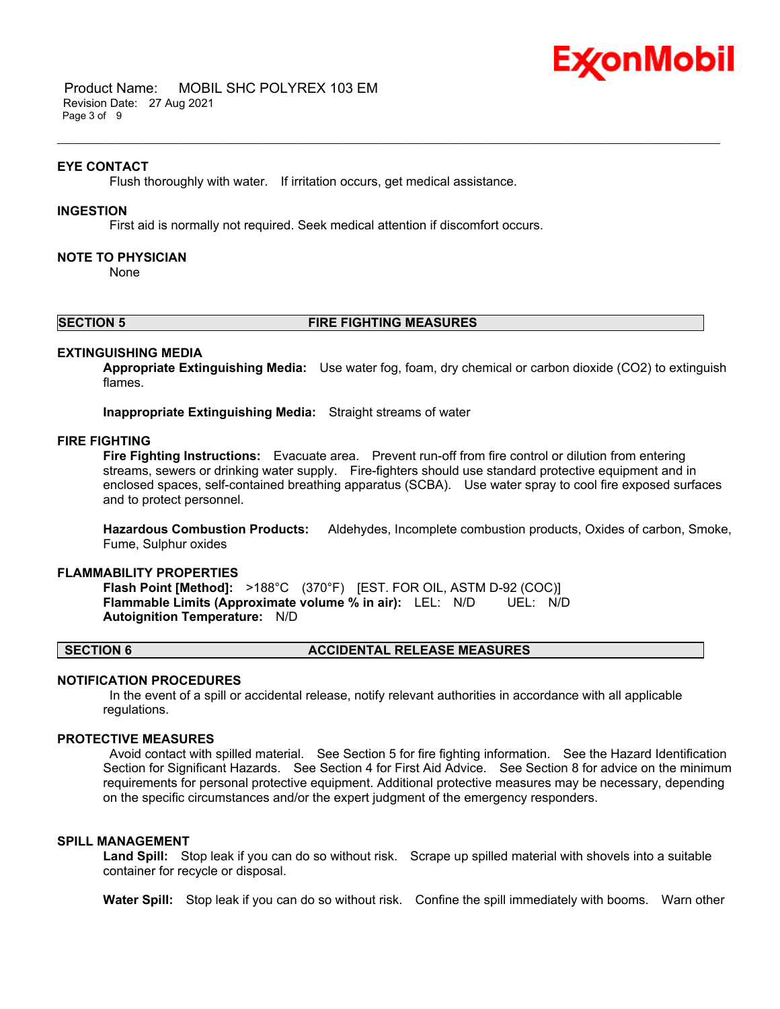

 Product Name: MOBIL SHC POLYREX 103 EM Revision Date: 27 Aug 2021 Page 3 of 9

#### **EYE CONTACT**

Flush thoroughly with water. If irritation occurs, get medical assistance.

#### **INGESTION**

First aid is normally not required. Seek medical attention if discomfort occurs.

#### **NOTE TO PHYSICIAN**

None

#### **SECTION 5 FIRE FIGHTING MEASURES**

\_\_\_\_\_\_\_\_\_\_\_\_\_\_\_\_\_\_\_\_\_\_\_\_\_\_\_\_\_\_\_\_\_\_\_\_\_\_\_\_\_\_\_\_\_\_\_\_\_\_\_\_\_\_\_\_\_\_\_\_\_\_\_\_\_\_\_\_\_\_\_\_\_\_\_\_\_\_\_\_\_\_\_\_\_\_\_\_\_\_\_\_\_\_\_\_\_\_\_\_\_\_\_\_\_\_\_\_\_\_\_\_\_\_\_\_\_

#### **EXTINGUISHING MEDIA**

**Appropriate Extinguishing Media:** Use water fog, foam, dry chemical or carbon dioxide (CO2) to extinguish flames.

**Inappropriate Extinguishing Media:** Straight streams of water

#### **FIRE FIGHTING**

**Fire Fighting Instructions:** Evacuate area. Prevent run-off from fire control or dilution from entering streams, sewers or drinking water supply. Fire-fighters should use standard protective equipment and in enclosed spaces, self-contained breathing apparatus (SCBA). Use water spray to cool fire exposed surfaces and to protect personnel.

**Hazardous Combustion Products:** Aldehydes, Incomplete combustion products, Oxides of carbon, Smoke, Fume, Sulphur oxides

#### **FLAMMABILITY PROPERTIES**

**Flash Point [Method]:** >188°C (370°F) [EST. FOR OIL, ASTM D-92 (COC)] **Flammable Limits (Approximate volume % in air):** LEL: N/D UEL: N/D **Autoignition Temperature:** N/D

#### **SECTION 6 ACCIDENTAL RELEASE MEASURES**

#### **NOTIFICATION PROCEDURES**

In the event of a spill or accidental release, notify relevant authorities in accordance with all applicable regulations.

#### **PROTECTIVE MEASURES**

Avoid contact with spilled material. See Section 5 for fire fighting information. See the Hazard Identification Section for Significant Hazards. See Section 4 for First Aid Advice. See Section 8 for advice on the minimum requirements for personal protective equipment. Additional protective measures may be necessary, depending on the specific circumstances and/or the expert judgment of the emergency responders.

#### **SPILL MANAGEMENT**

**Land Spill:** Stop leak if you can do so without risk. Scrape up spilled material with shovels into a suitable container for recycle or disposal.

**Water Spill:** Stop leak if you can do so without risk. Confine the spill immediately with booms. Warn other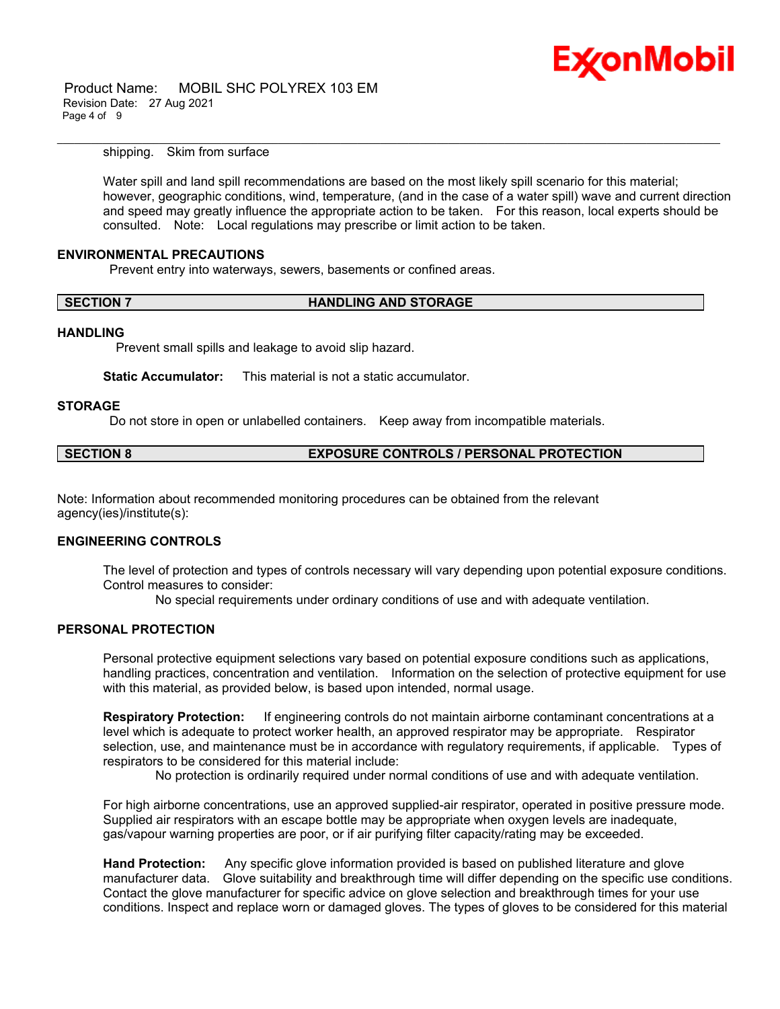

 Product Name: MOBIL SHC POLYREX 103 EM Revision Date: 27 Aug 2021 Page 4 of 9

shipping. Skim from surface

Water spill and land spill recommendations are based on the most likely spill scenario for this material; however, geographic conditions, wind, temperature, (and in the case of a water spill) wave and current direction and speed may greatly influence the appropriate action to be taken. For this reason, local experts should be consulted. Note: Local regulations may prescribe or limit action to be taken.

\_\_\_\_\_\_\_\_\_\_\_\_\_\_\_\_\_\_\_\_\_\_\_\_\_\_\_\_\_\_\_\_\_\_\_\_\_\_\_\_\_\_\_\_\_\_\_\_\_\_\_\_\_\_\_\_\_\_\_\_\_\_\_\_\_\_\_\_\_\_\_\_\_\_\_\_\_\_\_\_\_\_\_\_\_\_\_\_\_\_\_\_\_\_\_\_\_\_\_\_\_\_\_\_\_\_\_\_\_\_\_\_\_\_\_\_\_

#### **ENVIRONMENTAL PRECAUTIONS**

Prevent entry into waterways, sewers, basements or confined areas.

#### **SECTION 7 HANDLING AND STORAGE**

#### **HANDLING**

Prevent small spills and leakage to avoid slip hazard.

**Static Accumulator:** This material is not a static accumulator.

#### **STORAGE**

Do not store in open or unlabelled containers. Keep away from incompatible materials.

| <b>SECTION 8</b> | <b>EXPOSURE CONTROLS / PERSONAL PROTECTION</b> |
|------------------|------------------------------------------------|
|------------------|------------------------------------------------|

Note: Information about recommended monitoring procedures can be obtained from the relevant agency(ies)/institute(s):

#### **ENGINEERING CONTROLS**

The level of protection and types of controls necessary will vary depending upon potential exposure conditions. Control measures to consider:

No special requirements under ordinary conditions of use and with adequate ventilation.

#### **PERSONAL PROTECTION**

Personal protective equipment selections vary based on potential exposure conditions such as applications, handling practices, concentration and ventilation. Information on the selection of protective equipment for use with this material, as provided below, is based upon intended, normal usage.

**Respiratory Protection:** If engineering controls do not maintain airborne contaminant concentrations at a level which is adequate to protect worker health, an approved respirator may be appropriate. Respirator selection, use, and maintenance must be in accordance with regulatory requirements, if applicable. Types of respirators to be considered for this material include:

No protection is ordinarily required under normal conditions of use and with adequate ventilation.

For high airborne concentrations, use an approved supplied-air respirator, operated in positive pressure mode. Supplied air respirators with an escape bottle may be appropriate when oxygen levels are inadequate, gas/vapour warning properties are poor, or if air purifying filter capacity/rating may be exceeded.

**Hand Protection:** Any specific glove information provided is based on published literature and glove manufacturer data. Glove suitability and breakthrough time will differ depending on the specific use conditions. Contact the glove manufacturer for specific advice on glove selection and breakthrough times for your use conditions. Inspect and replace worn or damaged gloves. The types of gloves to be considered for this material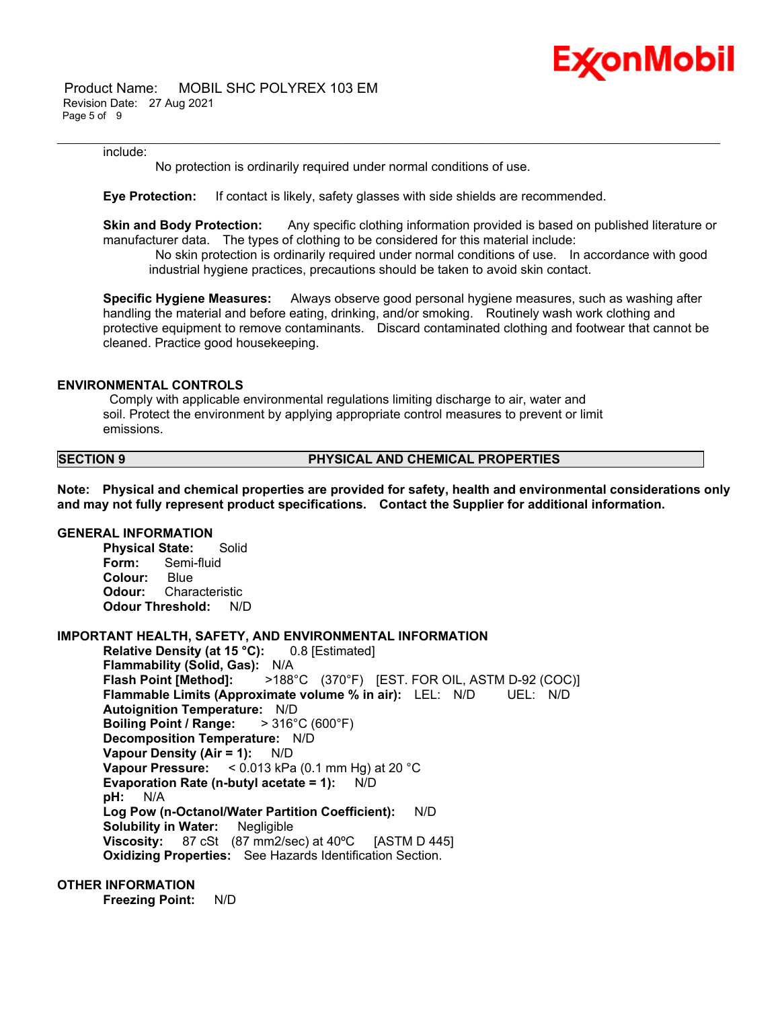

 Product Name: MOBIL SHC POLYREX 103 EM Revision Date: 27 Aug 2021 Page 5 of 9

#### include:

No protection is ordinarily required under normal conditions of use.

**Eye Protection:** If contact is likely, safety glasses with side shields are recommended.

**Skin and Body Protection:** Any specific clothing information provided is based on published literature or manufacturer data. The types of clothing to be considered for this material include:

\_\_\_\_\_\_\_\_\_\_\_\_\_\_\_\_\_\_\_\_\_\_\_\_\_\_\_\_\_\_\_\_\_\_\_\_\_\_\_\_\_\_\_\_\_\_\_\_\_\_\_\_\_\_\_\_\_\_\_\_\_\_\_\_\_\_\_\_\_\_\_\_\_\_\_\_\_\_\_\_\_\_\_\_\_\_\_\_\_\_\_\_\_\_\_\_\_\_\_\_\_\_\_\_\_\_\_\_\_\_\_\_\_\_\_\_\_

No skin protection is ordinarily required under normal conditions of use. In accordance with good industrial hygiene practices, precautions should be taken to avoid skin contact.

**Specific Hygiene Measures:** Always observe good personal hygiene measures, such as washing after handling the material and before eating, drinking, and/or smoking. Routinely wash work clothing and protective equipment to remove contaminants. Discard contaminated clothing and footwear that cannot be cleaned. Practice good housekeeping.

#### **ENVIRONMENTAL CONTROLS**

Comply with applicable environmental regulations limiting discharge to air, water and soil. Protect the environment by applying appropriate control measures to prevent or limit emissions.

#### **SECTION 9 PHYSICAL AND CHEMICAL PROPERTIES**

**Note: Physical and chemical properties are provided for safety, health and environmental considerations only and may not fully represent product specifications. Contact the Supplier for additional information.**

#### **GENERAL INFORMATION**

**Physical State:** Solid **Form:** Semi-fluid **Colour:** Blue **Odour:** Characteristic **Odour Threshold:** N/D

#### **IMPORTANT HEALTH, SAFETY, AND ENVIRONMENTAL INFORMATION**

**Relative Density (at 15 °C):** 0.8 [Estimated] **Flammability (Solid, Gas):** N/A **Flash Point [Method]:** >188°C (370°F) [EST. FOR OIL, ASTM D-92 (COC)] **Flammable Limits (Approximate volume % in air):** LEL: N/D UEL: N/D **Autoignition Temperature:** N/D **Boiling Point / Range:** > 316°C (600°F) **Decomposition Temperature:** N/D **Vapour Density (Air = 1):** N/D **Vapour Pressure:** < 0.013 kPa (0.1 mm Hg) at 20 °C **Evaporation Rate (n-butyl acetate = 1):** N/D **pH:** N/A **Log Pow (n-Octanol/Water Partition Coefficient):** N/D **Solubility in Water:** Negligible **Viscosity:** 87 cSt (87 mm2/sec) at 40ºC [ASTM D 445] **Oxidizing Properties:** See Hazards Identification Section.

#### **OTHER INFORMATION**

**Freezing Point:** N/D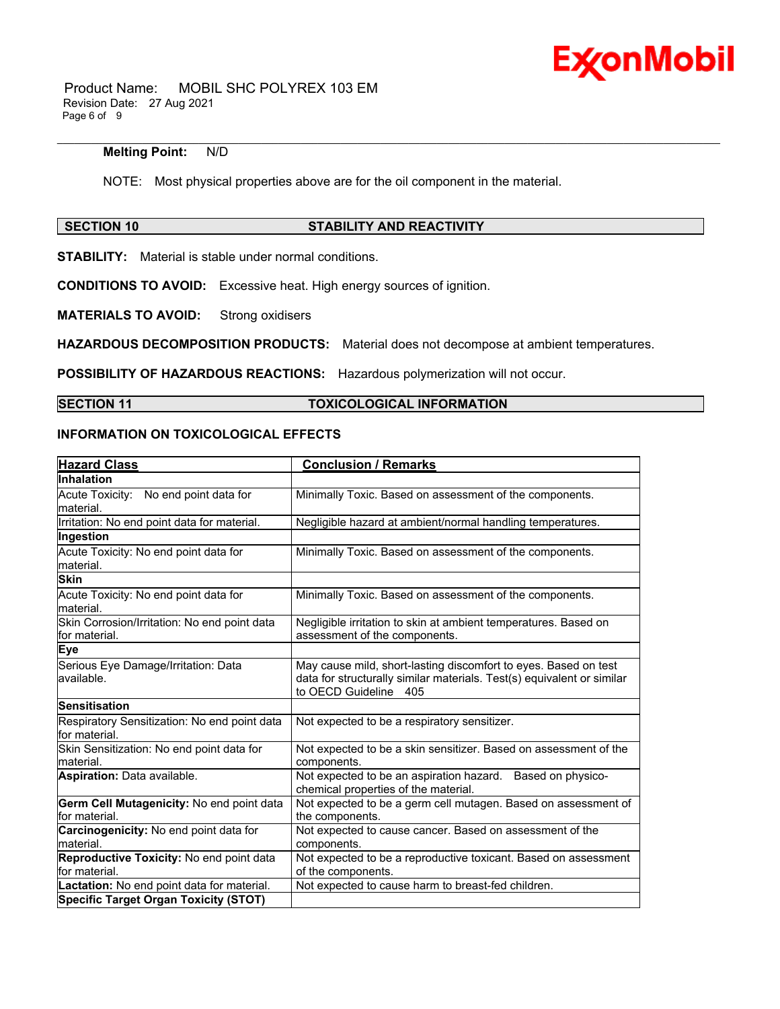

 Product Name: MOBIL SHC POLYREX 103 EM Revision Date: 27 Aug 2021 Page 6 of 9

#### **Melting Point:** N/D

NOTE: Most physical properties above are for the oil component in the material.

\_\_\_\_\_\_\_\_\_\_\_\_\_\_\_\_\_\_\_\_\_\_\_\_\_\_\_\_\_\_\_\_\_\_\_\_\_\_\_\_\_\_\_\_\_\_\_\_\_\_\_\_\_\_\_\_\_\_\_\_\_\_\_\_\_\_\_\_\_\_\_\_\_\_\_\_\_\_\_\_\_\_\_\_\_\_\_\_\_\_\_\_\_\_\_\_\_\_\_\_\_\_\_\_\_\_\_\_\_\_\_\_\_\_\_\_\_

#### **SECTION 10 STABILITY AND REACTIVITY**

**STABILITY:** Material is stable under normal conditions.

**CONDITIONS TO AVOID:** Excessive heat. High energy sources of ignition.

**MATERIALS TO AVOID:** Strong oxidisers

**HAZARDOUS DECOMPOSITION PRODUCTS:** Material does not decompose at ambient temperatures.

**POSSIBILITY OF HAZARDOUS REACTIONS:** Hazardous polymerization will not occur.

### **SECTION 11 TOXICOLOGICAL INFORMATION**

#### **INFORMATION ON TOXICOLOGICAL EFFECTS**

| <b>Hazard Class</b>                                           | <b>Conclusion / Remarks</b>                                                                                                                                        |  |
|---------------------------------------------------------------|--------------------------------------------------------------------------------------------------------------------------------------------------------------------|--|
| Inhalation                                                    |                                                                                                                                                                    |  |
| Acute Toxicity: No end point data for<br>material.            | Minimally Toxic. Based on assessment of the components.                                                                                                            |  |
| Irritation: No end point data for material.                   | Negligible hazard at ambient/normal handling temperatures.                                                                                                         |  |
| Ingestion                                                     |                                                                                                                                                                    |  |
| Acute Toxicity: No end point data for<br>material.            | Minimally Toxic. Based on assessment of the components.                                                                                                            |  |
| <b>Skin</b>                                                   |                                                                                                                                                                    |  |
| Acute Toxicity: No end point data for<br>material.            | Minimally Toxic. Based on assessment of the components.                                                                                                            |  |
| Skin Corrosion/Irritation: No end point data<br>for material. | Negligible irritation to skin at ambient temperatures. Based on<br>assessment of the components.                                                                   |  |
| Eye                                                           |                                                                                                                                                                    |  |
| Serious Eye Damage/Irritation: Data<br>available.             | May cause mild, short-lasting discomfort to eyes. Based on test<br>data for structurally similar materials. Test(s) equivalent or similar<br>to OECD Guideline 405 |  |
| Sensitisation                                                 |                                                                                                                                                                    |  |
| Respiratory Sensitization: No end point data<br>for material. | Not expected to be a respiratory sensitizer.                                                                                                                       |  |
| Skin Sensitization: No end point data for<br>material.        | Not expected to be a skin sensitizer. Based on assessment of the<br>components.                                                                                    |  |
| Aspiration: Data available.                                   | Not expected to be an aspiration hazard. Based on physico-<br>chemical properties of the material.                                                                 |  |
| Germ Cell Mutagenicity: No end point data<br>for material.    | Not expected to be a germ cell mutagen. Based on assessment of<br>the components.                                                                                  |  |
| Carcinogenicity: No end point data for<br>Imaterial.          | Not expected to cause cancer. Based on assessment of the<br>components.                                                                                            |  |
| Reproductive Toxicity: No end point data<br>for material.     | Not expected to be a reproductive toxicant. Based on assessment<br>of the components.                                                                              |  |
| Lactation: No end point data for material.                    | Not expected to cause harm to breast-fed children.                                                                                                                 |  |
| <b>Specific Target Organ Toxicity (STOT)</b>                  |                                                                                                                                                                    |  |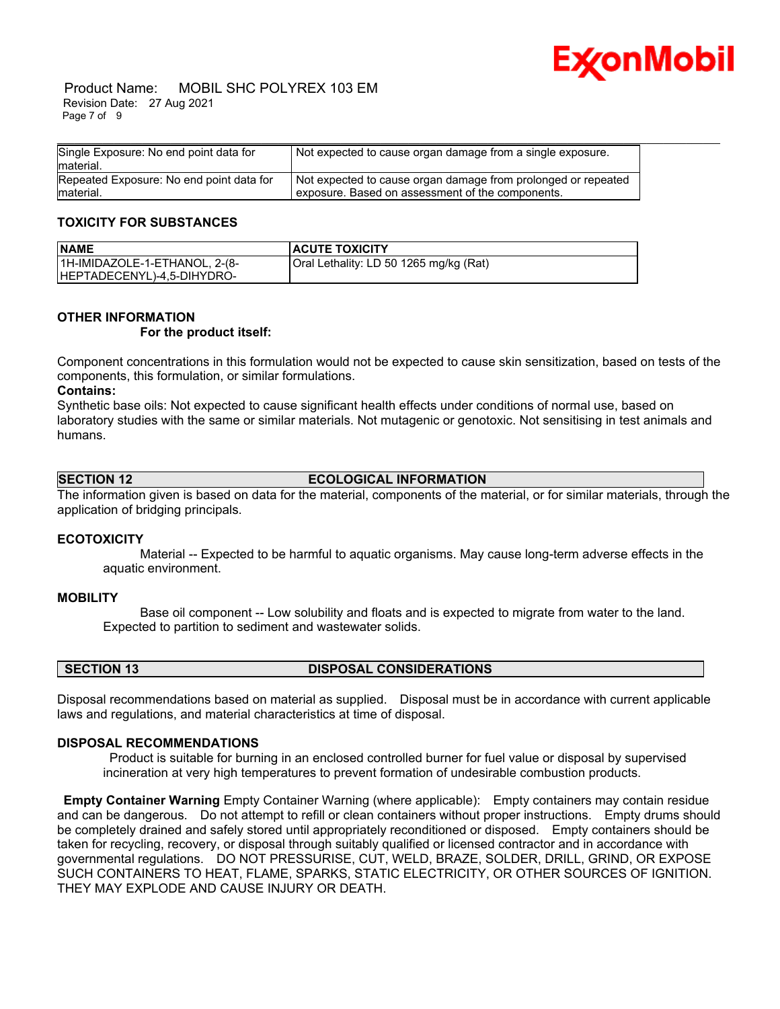

 Product Name: MOBIL SHC POLYREX 103 EM Revision Date: 27 Aug 2021 Page 7 of 9

| Single Exposure: No end point data for<br>lmaterial.   | Not expected to cause organ damage from a single exposure.                                                        |
|--------------------------------------------------------|-------------------------------------------------------------------------------------------------------------------|
| Repeated Exposure: No end point data for<br>lmaterial. | Not expected to cause organ damage from prolonged or repeated<br>exposure. Based on assessment of the components. |

#### **TOXICITY FOR SUBSTANCES**

| <b>NAME</b>                   | <b>ACUTE TOXICITY</b>                  |
|-------------------------------|----------------------------------------|
| 1H-IMIDAZOLE-1-ETHANOL, 2-(8- | Oral Lethality: LD 50 1265 mg/kg (Rat) |
| HEPTADECENYL)-4,5-DIHYDRO-    |                                        |

#### **OTHER INFORMATION**

#### **For the product itself:**

Component concentrations in this formulation would not be expected to cause skin sensitization, based on tests of the components, this formulation, or similar formulations.

#### **Contains:**

Synthetic base oils: Not expected to cause significant health effects under conditions of normal use, based on laboratory studies with the same or similar materials. Not mutagenic or genotoxic. Not sensitising in test animals and humans.

#### **SECTION 12 ECOLOGICAL INFORMATION**

The information given is based on data for the material, components of the material, or for similar materials, through the application of bridging principals.

#### **ECOTOXICITY**

 Material -- Expected to be harmful to aquatic organisms. May cause long-term adverse effects in the aquatic environment.

#### **MOBILITY**

 Base oil component -- Low solubility and floats and is expected to migrate from water to the land. Expected to partition to sediment and wastewater solids.

#### **SECTION 13 DISPOSAL CONSIDERATIONS**

Disposal recommendations based on material as supplied. Disposal must be in accordance with current applicable laws and regulations, and material characteristics at time of disposal.

#### **DISPOSAL RECOMMENDATIONS**

Product is suitable for burning in an enclosed controlled burner for fuel value or disposal by supervised incineration at very high temperatures to prevent formation of undesirable combustion products.

**Empty Container Warning** Empty Container Warning (where applicable): Empty containers may contain residue and can be dangerous. Do not attempt to refill or clean containers without proper instructions. Empty drums should be completely drained and safely stored until appropriately reconditioned or disposed. Empty containers should be taken for recycling, recovery, or disposal through suitably qualified or licensed contractor and in accordance with governmental regulations. DO NOT PRESSURISE, CUT, WELD, BRAZE, SOLDER, DRILL, GRIND, OR EXPOSE SUCH CONTAINERS TO HEAT, FLAME, SPARKS, STATIC ELECTRICITY, OR OTHER SOURCES OF IGNITION. THEY MAY EXPLODE AND CAUSE INJURY OR DEATH.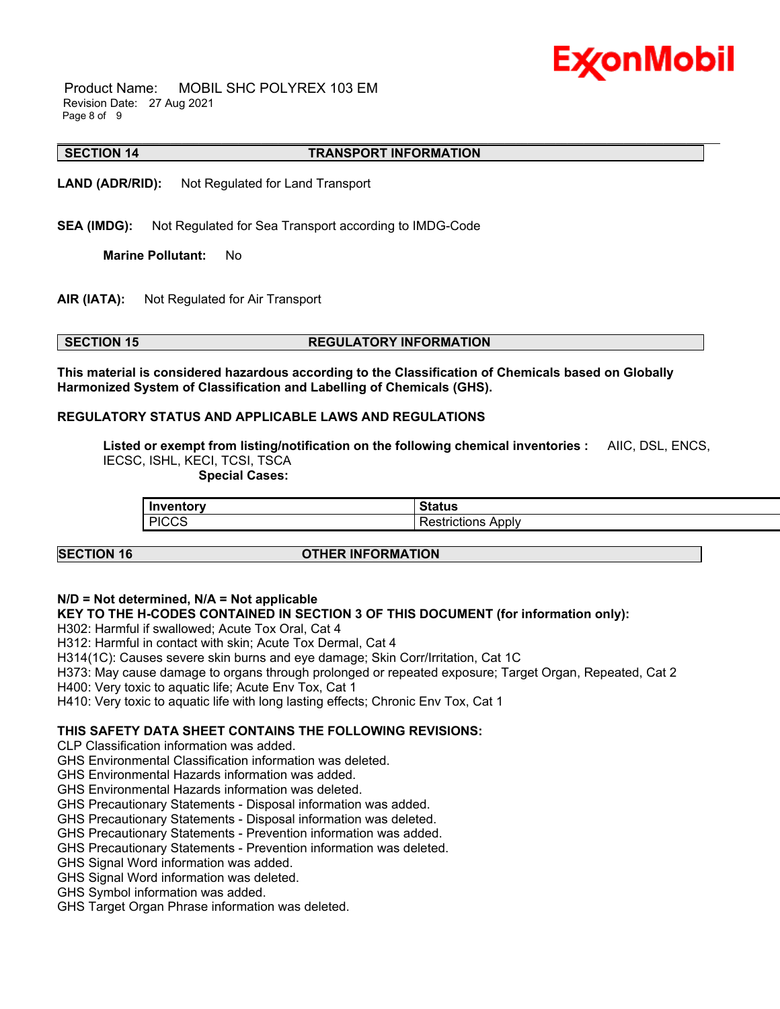# Ex⁄onMobil

 Product Name: MOBIL SHC POLYREX 103 EM Revision Date: 27 Aug 2021 Page 8 of 9

#### \_\_\_\_\_\_\_\_\_\_\_\_\_\_\_\_\_\_\_\_\_\_\_\_\_\_\_\_\_\_\_\_\_\_\_\_\_\_\_\_\_\_\_\_\_\_\_\_\_\_\_\_\_\_\_\_\_\_\_\_\_\_\_\_\_\_\_\_\_\_\_\_\_\_\_\_\_\_\_\_\_\_\_\_\_\_\_\_\_\_\_\_\_\_\_\_\_\_\_\_\_\_\_\_\_\_\_\_\_\_\_\_\_\_\_\_\_ **SECTION 14 TRANSPORT INFORMATION**

**LAND (ADR/RID):** Not Regulated for Land Transport

**SEA (IMDG):** Not Regulated for Sea Transport according to IMDG-Code

**Marine Pollutant:** No

**AIR (IATA):** Not Regulated for Air Transport

### **SECTION 15 REGULATORY INFORMATION**

**This material is considered hazardous according to the Classification of Chemicals based on Globally Harmonized System of Classification and Labelling of Chemicals (GHS).**

#### **REGULATORY STATUS AND APPLICABLE LAWS AND REGULATIONS**

**Listed or exempt from listing/notification on the following chemical inventories :** AIIC, DSL, ENCS, IECSC, ISHL, KECI, TCSI, TSCA

 **Special Cases:**

| <b>Inventory</b>      | ົ                          |
|-----------------------|----------------------------|
| JUIOLA J              | aua                        |
| <b>DICCS</b><br>∵י טי | .<br>u<br>ADDIV<br>зн<br>. |

#### **SECTION 16 OTHER INFORMATION**

#### **N/D = Not determined, N/A = Not applicable**

#### **KEY TO THE H-CODES CONTAINED IN SECTION 3 OF THIS DOCUMENT (for information only):**

H302: Harmful if swallowed; Acute Tox Oral, Cat 4

H312: Harmful in contact with skin; Acute Tox Dermal, Cat 4

H314(1C): Causes severe skin burns and eye damage; Skin Corr/Irritation, Cat 1C

H373: May cause damage to organs through prolonged or repeated exposure; Target Organ, Repeated, Cat 2

H400: Very toxic to aquatic life; Acute Env Tox, Cat 1

H410: Very toxic to aquatic life with long lasting effects; Chronic Env Tox, Cat 1

### **THIS SAFETY DATA SHEET CONTAINS THE FOLLOWING REVISIONS:**

CLP Classification information was added.

GHS Environmental Classification information was deleted.

GHS Environmental Hazards information was added.

GHS Environmental Hazards information was deleted.

GHS Precautionary Statements - Disposal information was added.

GHS Precautionary Statements - Disposal information was deleted.

GHS Precautionary Statements - Prevention information was added.

GHS Precautionary Statements - Prevention information was deleted.

GHS Signal Word information was added.

GHS Signal Word information was deleted.

GHS Symbol information was added.

GHS Target Organ Phrase information was deleted.